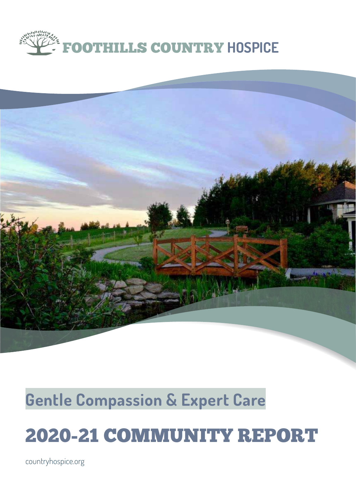



### **Gentle Compassion & Expert Care**

### 2020-21 COMMUNITY REPORT

countryhospice.org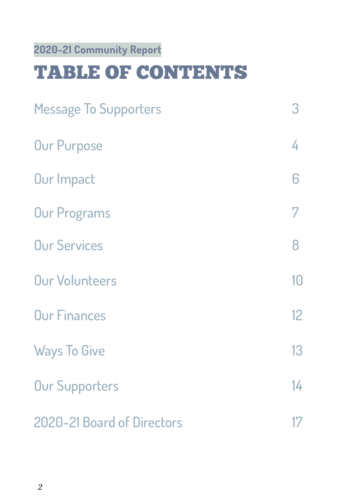#### **2020-21 Community Report**

### TABLE OF CONTENTS

| <b>Message To Supporters</b> | 3  |
|------------------------------|----|
| <b>Our Purpose</b>           | 4  |
| Our Impact                   | 6  |
| <b>Our Programs</b>          | 7  |
| <b>Our Services</b>          | 8  |
| <b>Our Volunteers</b>        | 10 |
| <b>Our Finances</b>          | 12 |
| <b>Ways To Give</b>          | 13 |
| <b>Our Supporters</b>        | 14 |
| 2020-21 Board of Directors   |    |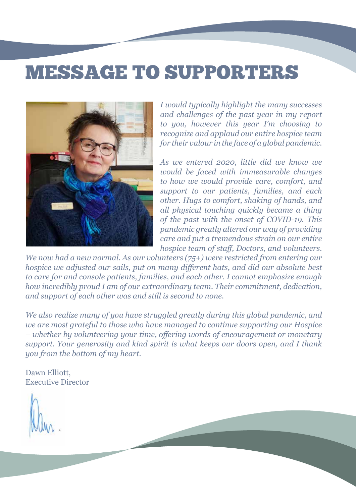### MESSAGE TO SUPPORTERS



*I would typically highlight the many successes and challenges of the past year in my report to you, however this year I'm choosing to recognize and applaud our entire hospice team for their valour in the face of a global pandemic.*

*As we entered 2020, little did we know we would be faced with immeasurable changes to how we would provide care, comfort, and support to our patients, families, and each other. Hugs to comfort, shaking of hands, and all physical touching quickly became a thing of the past with the onset of COVID-19. This pandemic greatly altered our way of providing care and put a tremendous strain on our entire hospice team of staff, Doctors, and volunteers.* 

*We now had a new normal. As our volunteers (75+) were restricted from entering our hospice we adjusted our sails, put on many different hats, and did our absolute best to care for and console patients, families, and each other. I cannot emphasize enough how incredibly proud I am of our extraordinary team. Their commitment, dedication, and support of each other was and still is second to none.* 

*We also realize many of you have struggled greatly during this global pandemic, and we are most grateful to those who have managed to continue supporting our Hospice – whether by volunteering your time, offering words of encouragement or monetary support. Your generosity and kind spirit is what keeps our doors open, and I thank you from the bottom of my heart.*

Dawn Elliott, Executive Director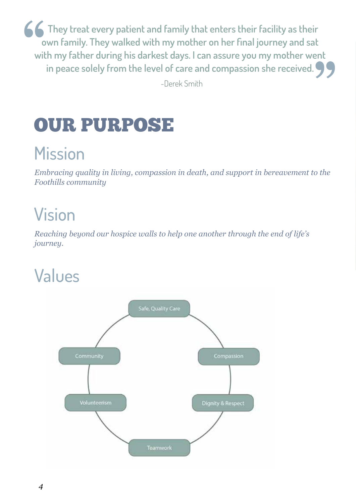**<u>f</u>forms** They treat every patient and family that enters their facility as their **own family. They walked with my mother on her final journey and sat with my father during his darkest days. I can assure you my mother went in peace solely from the level of care and compassion she received.** 

-Derek Smith

### OUR PURPOSE

### **Mission**

*Embracing quality in living, compassion in death, and support in bereavement to the Foothills community*

### Vision

*Reaching beyond our hospice walls to help one another through the end of life's journey.*

### Values

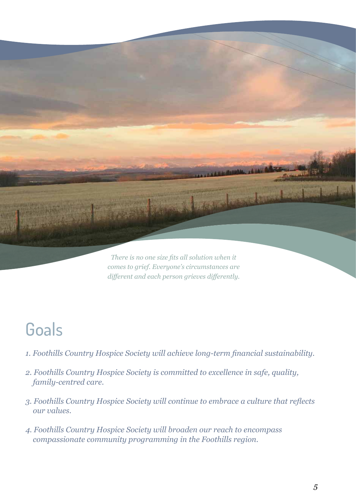

*different and each person grieves differently.* 

### **Goals**

- *1. Foothills Country Hospice Society will achieve long-term financial sustainability.*
- *2. Foothills Country Hospice Society is committed to excellence in safe, quality, family-centred care.*
- *3. Foothills Country Hospice Society will continue to embrace a culture that reflects our values.*
- *4. Foothills Country Hospice Society will broaden our reach to encompass compassionate community programming in the Foothills region.*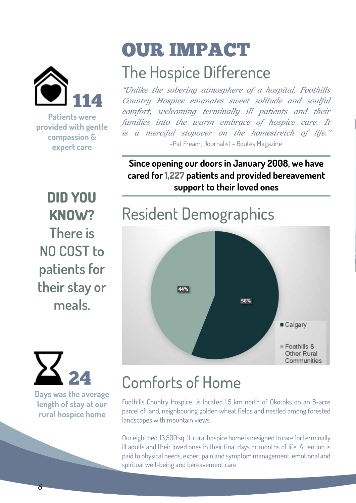

**Patients were provided with gentle compassion & expert care**

### OUR IMPACT

### The Hospice Difference

*"Unlike the sobering atmosphere of a hospital, Foothills Country Hospice emanates sweet solitude and soulful comfort, welcoming terminally ill patients and their families into the warm embrace of hospice care. It is a merciful stopover on the homestretch of life."* -Pat Fream, Journalist - Routes Magazine

**Since opening our doors in January 2008, we have cared for 1,227 patients and provided bereavement support to their loved ones**

**DID YOU KNOW? There is NO COST to patients for their stay or meals.**



**Days was the average length of stay at our rural hospice home**

### Resident Demographics



### Comforts of Home

Foothills Country Hospice is located 1.5 km north of Okotoks on an 8-acre parcel of land, neighbouring golden wheat fields and nestled among forested landscapes with mountain views.

Our eight bed, 13,500 sq. ft. rural hospice home is designed to care for terminally ill adults and their loved ones in their final days or months of life. Attention is paid to physical needs, expert pain and symptom management, emotional and spiritual well-being and bereavement care.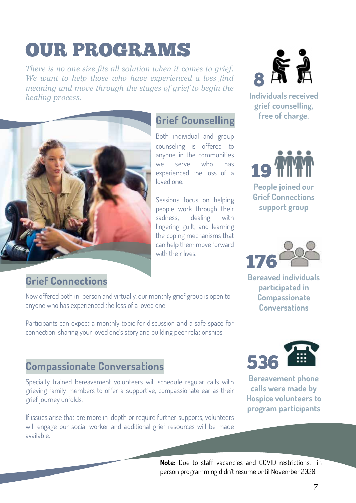### OUR PROGRAMS

*There is no one size fits all solution when it comes to grief. We want to help those who have experienced a loss find meaning and move through the stages of grief to begin the healing process.* 



#### **Grief Connections**

Now offered both in-person and virtually, our monthly grief group is open to anyone who has experienced the loss of a loved one.

Participants can expect a monthly topic for discussion and a safe space for connection, sharing your loved one's story and building peer relationships.

#### **Compassionate Conversations**

Specialty trained bereavement volunteers will schedule regular calls with grieving family members to offer a supportive, compassionate ear as their grief journey unfolds.

If issues arise that are more in-depth or require further supports, volunteers will engage our social worker and additional grief resources will be made available.

# 8 Å Å

**Individuals received grief counselling, free of charge. Grief Counselling**





**Bereaved individuals participated in Compassionate Conversations**



**Bereavement phone calls were made by Hospice volunteers to program participants**

**Note:** Due to staff vacancies and COVID restrictions, in person programming didn't resume until November 2020.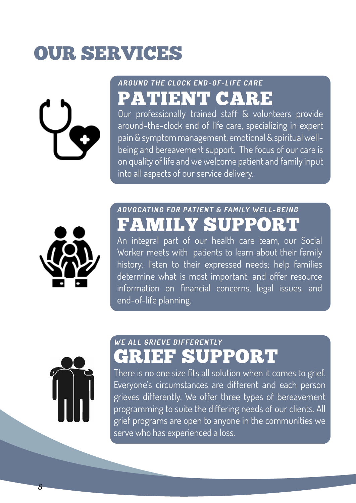### OUR SERVICES



#### **AROUND THE CLOCK END-OF-LIFE CARE** PATIENT CARE

Our professionally trained staff & volunteers provide around-the-clock end of life care, specializing in expert pain & symptom management, emotional & spiritual wellbeing and bereavement support. The focus of our care is on quality of life and we welcome patient and family input into all aspects of our service delivery.



#### **ADVOCATING FOR PATIENT & FAMILY WELL-BEING** FAMILY SUPPORT

An integral part of our health care team, our Social Worker meets with patients to learn about their family history; listen to their expressed needs; help families determine what is most important; and offer resource information on financial concerns, legal issues, and end-of-life planning.



#### **WE ALL GRIEVE DIFFERENTLY** GRIEF SUPPORT

There is no one size fits all solution when it comes to grief. Everyone's circumstances are different and each person grieves differently. We offer three types of bereavement programming to suite the differing needs of our clients. All grief programs are open to anyone in the communities we serve who has experienced a loss.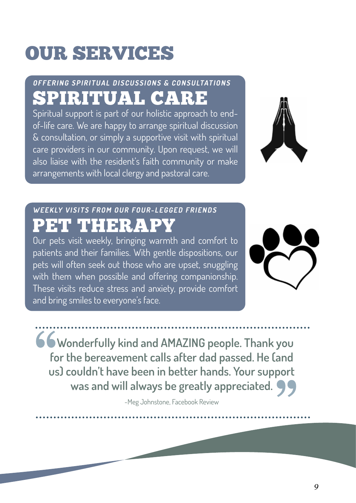## OUR SERVICES

#### **OFFERING SPIRITUAL DISCUSSIONS & CONSULTATIONS** SPIRITUAL CARE

Spiritual support is part of our holistic approach to endof-life care. We are happy to arrange spiritual discussion & consultation, or simply a supportive visit with spiritual care providers in our community. Upon request, we will also liaise with the resident's faith community or make arrangements with local clergy and pastoral care.



#### **WEEKLY VISITS FROM OUR FOUR-LEGGED FRIENDS** PET THERAP

Our pets visit weekly, bringing warmth and comfort to patients and their families. With gentle dispositions, our pets will often seek out those who are upset, snuggling with them when possible and offering companionship. These visits reduce stress and anxiety, provide comfort and bring smiles to everyone's face.



 **Wonderfully kind and AMAZING people. Thank you for the bereavement calls after dad passed. He (and us) couldn't have been in better hands. Your support was and will always be greatly appreciated.** 

-Meg Johnstone, Facebook Review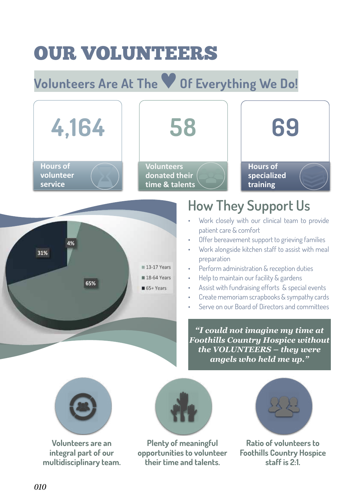### OUR VOLUNTEERS

### **Volunteers Are At The**♥**Of Everything We Do!**



**Volunteers are an integral part of our multidisciplinary team.**

**Plenty of meaningful opportunities to volunteer their time and talents.**

**Ratio of volunteers to Foothills Country Hospice staff is 2:1.**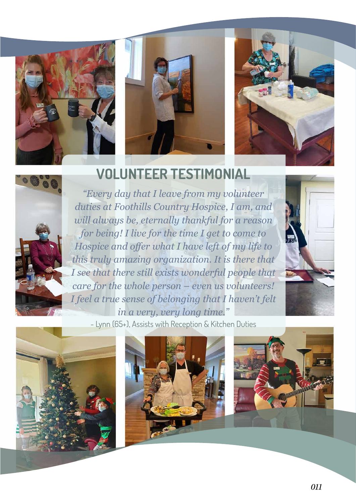







#### **VOLUNTEER TESTIMONIAL**

*"Every day that I leave from my volunteer duties at Foothills Country Hospice, I am, and will always be, eternally thankful for a reason for being! I live for the time I get to come to Hospice and offer what I have left of my life to this truly amazing organization. It is there that I see that there still exists wonderful people that care for the whole person – even us volunteers! I feel a true sense of belonging that I haven't felt in a very, very long time."*



- Lynn (65+), Assists with Reception & Kitchen Duties



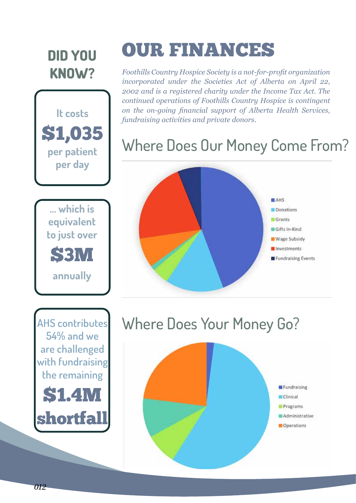#### **DID YOU KNOW?**





### OUR FINANCES

*Foothills Country Hospice Society is a not-for-profit organization incorporated under the Societies Act of Alberta on April 22, 2002 and is a registered charity under the Income Tax Act. The continued operations of Foothills Country Hospice is contingent on the on-going financial support of Alberta Health Services, fundraising activities and private donors.*

#### Where Does Our Money Come From?



### Where Does Your Money Go?

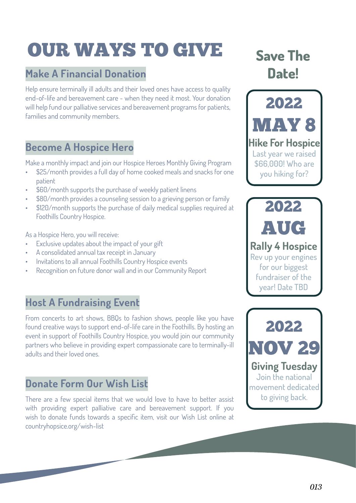### OUR WAYS TO GIVE

#### **Make A Financial Donation**

Help ensure terminally ill adults and their loved ones have access to quality end-of-life and bereavement care - when they need it most. Your donation will help fund our palliative services and bereavement programs for patients, families and community members.

#### **Become A Hospice Hero**

Make a monthly impact and join our Hospice Heroes Monthly Giving Program

- \$25/month provides a full day of home cooked meals and snacks for one patient
- \$60/month supports the purchase of weekly patient linens
- \$80/month provides a counseling session to a grieving person or family
- \$120/month supports the purchase of daily medical supplies required at Foothills Country Hospice.

As a Hospice Hero, you will receive:

- Exclusive updates about the impact of your gift
- A consolidated annual tax receipt in January
- Invitations to all annual Foothills Country Hospice events
- Recognition on future donor wall and in our Community Report

#### **Host A Fundraising Event**

From concerts to art shows, BBQs to fashion shows, people like you have found creative ways to support end-of-life care in the Foothills. By hosting an event in support of Foothills Country Hospice, you would join our community partners who believe in providing expert compassionate care to terminally-ill adults and their loved ones.

#### **Donate Form Our Wish List**

There are a few special items that we would love to have to better assist with providing expert palliative care and bereavement support. If you wish to donate funds towards a specific item, visit our Wish List online at countryhopsice.org/wish-list

#### **Save The Date!**

2022 MAY 8 **Hike For Hospice** Last year we raised \$66,000! Who are you hiking for?

**Rally 4 Hospice** Rev up your engines for our biggest fundraiser of the year! Date TBD

2022

AUG

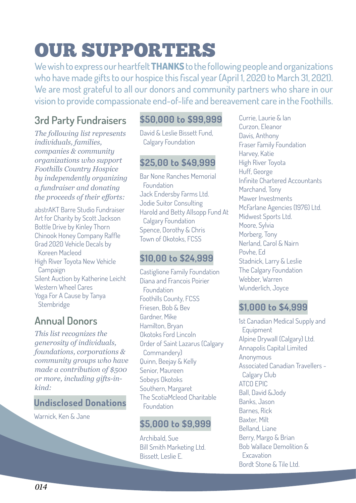### OUR SUPPORTERS

We wish to express our heartfelt **THANKS** to the following people and organizations who have made gifts to our hospice this fiscal year (April 1, 2020 to March 31, 2021). We are most grateful to all our donors and community partners who share in our vision to provide compassionate end-of-life and bereavement care in the Foothills.

#### **3rd Party Fundraisers**

*The following list represents individuals, families, companies & community organizations who support Foothills Country Hospice by independently organizing a fundraiser and donating the proceeds of their efforts:*

abstrAKT Barre Studio Fundraiser Art for Charity by Scott Jackson Bottle Drive by Kinley Thorn Chinook Honey Company Raffle Grad 2020 Vehicle Decals by Koreen Macleod High River Toyota New Vehicle Campaign Silent Auction by Katherine Leicht Western Wheel Cares Yoga For A Cause by Tanya Stembridge

#### **Annual Donors**

*This list recognizes the generosity of individuals, foundations, corporations & community groups who have made a contribution of \$500 or more, including gifts-inkind:*

#### **Undisclosed Donations**

Warnick, Ken & Jane

#### **\$50,000 to \$99,999**

David & Leslie Bissett Fund, Calgary Foundation

#### **\$25,00 to \$49,999**

Bar None Ranches Memorial Foundation Jack Endersby Farms Ltd. Jodie Suitor Consulting Harold and Betty Allsopp Fund At Calgary Foundation Spence, Dorothy & Chris Town of Okotoks, FCSS

#### **\$10,00 to \$24,999**

Castiglione Family Foundation Diana and Francois Poirier **Foundation** Foothills County, FCSS Friesen, Bob & Bev Gardner, Mike Hamilton, Bryan Okotoks Ford Lincoln Order of Saint Lazarus (Calgary Commandery) Quinn, Beejay & Kelly Senior, Maureen Sobeys Okotoks Southern, Margaret The ScotiaMcleod Charitable Foundation

#### **\$5,000 to \$9,999**

Archibald, Sue Bill Smith Marketing Ltd. Bissett, Leslie E.

Currie, Laurie & Ian Curzon, Eleanor Davis, Anthony Fraser Family Foundation Harvey, Katie High River Toyota Huff, George Infinite Chartered Accountants Marchand, Tony Mawer Investments McFarlane Agencies (1976) Ltd. Midwest Sports Ltd. Moore, Sylvia Morberg, Tony Nerland, Carol & Nairn Povhe, Ed Stadnick, Larry & Leslie The Calgary Foundation Webber, Warren Wunderlich, Joyce

#### **\$1,000 to \$4,999**

1st Canadian Medical Supply and **Equipment** Alpine Drywall (Calgary) Ltd. Annapolis Capital Limited Anonymous Associated Canadian Travellers - Calgary Club ATCO EPIC Ball, David &Jody Banks, Jason Barnes, Rick Baxter, Milt Belland, Liane Berry, Margo & Brian Bob Wallace Demolition & Excavation Bordt Stone & Tile Ltd.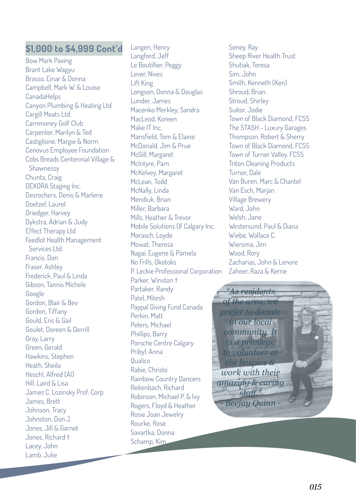#### **\$1,000 to \$4,999 Cont'd**

Bow Mark Paving Brant Lake Wagyu Brasso, Einar & Donna Campbell, Mark W. & Louise **CanadaHelps** Canyon Plumbing & Heating Ltd Cargill Meats Ltd. Carnmoney Golf Club Carpenter, Marilyn & Ted Castiglione, Margie & Norm Cenovus Employee Foundation Cobs Breads Centennial Village & Shawnessy Chunta, Craig DEKORA Staging Inc. Desrochers, Denis & Marlene Doetzel, Laurel Driedger, Harvey Dykstra, Adrian & Judy Effect Therapy Ltd Feedlot Health Management Services Ltd. Francis, Don Fraser, Ashley Frederick, Paul & Linda Gibson, Tannis Michele Google Gordon, Blair & Bev Gordon, Tiffany Gould, Eric & Gail Goulet, Doreen & Derrill Gray, Larry Green, Gerald Hawkins, Stephen Heath, Sheila Heschl, Alfred (Al) Hill, Laird & Lisa James C. Lozinsky Prof. Corp. James, Brett Johnson, Tracy Johnston, Don J. Jones, Jill & Garnet Jones, Richard † Lacey, John Lamb, Julie

Langen, Henry Langford, Jeff Le Boutillier, Peggy Lever, Nives Lift King Longson, Donna & Douglas Lunder, James Macenko Merkley, Sandra MacLeod, Koreen Make IT Inc. Mansfield, Tom & Elaine McDonald, Jim & Prue McGill, Margaret McIntyre, Pam McKelvey, Margaret McLean, Todd McNally, Linda Mendiuk, Brian Miller, Barbara Mills, Heather & Trevor Mobile Solutions Of Calgary Inc. Morasch, Loyde Mowat, Theresa Nagai, Eugene & Pamela No Frills, Okotoks P. Leckie Professional Corporation Parker, Winston + Partaker, Randy Patel, Mitesh Paypal Giving Fund Canada Perkin, Matt Peters, Michael Phillips, Barry Porsche Centre Calgary Pribyl, Anna **Qualico** Rabie, Christo Rainbow Country Dancers Reitenbach, Richard Robinson, Michael P. & Ivy Rogers, Floyd & Heather Rosie Joan Jewelry Rourke, Rose Savartka, Donna Schamp, Kim

Seney, Ray Sheep River Health Trust Shutiak, Teresa Sim, John Smith, Kenneth (Ken) Shroud, Brian Stroud, Shirley Suitor, Jodie Town of Black Diamond, FCSS The STASH - Luxury Garages Thompson, Robert & Sherry Town of Black Diamond, FCSS Town of Turner Valley, FCSS Triton Cleaning Products Turner, Dale Van Buren, Marc & Chantel Van Esch, Marjan Village Brewery Ward, John Welsh, Jane Westersund, Paul & Diana Wiebe, Wallace C. Wiersma, Jim Wood, Rory Zacharias, John & Lenore Zaheer, Raza & Kerrie

*"As residents of the area, we prefer to donate in our local community. It is a privilege to volunteer at the hospice & work with their amazing & caring staff." - Beejay Quinn -*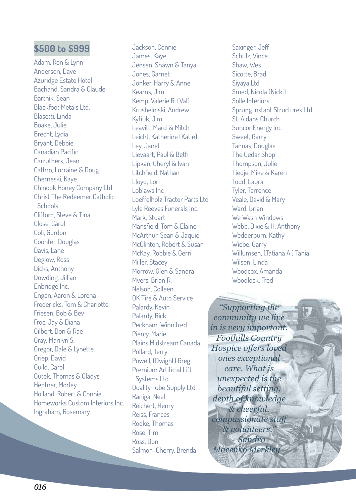Adam, Ron & Lynn Anderson, Dave Azuridge Estate Hotel Bachand, Sandra & Claude Bartnik, Sean Blackfoot Metals Ltd. Blasetti, Linda Boake, Julie Brecht, Lydia Bryant, Debbie Canadian Pacific Carruthers, Jean Cathro, Lorraine & Doug Cherneski, Kaye Chinook Honey Company Ltd. Christ The Redeemer Catholic **Schools** Clifford, Steve & Tina Close, Carol Coli, Gordon Coonfer, Douglas Davis, Lane Deglow, Ross Dicks, Anthony Dowding, Jillian Enbridge Inc. Engen, Aaron & Lorena Fredericks, Tom & Charlotte Friesen, Bob & Bev Froc, Jay & Diana Gilbert, Don & Rae Gray, Marilyn S. Gregor, Dale & Lynette Griep, David Guild, Carol Gutek, Thomas & Gladys Hepfner, Morley Holland, Robert & Connie Homeworks Custom Interiors Inc. Ingraham, Rosemary

Jackson, Connie James, Kaye Jensen, Shawn & Tanya Jones, Garnet Jonker, Harry & Anne Kearns, Jim Kemp, Valerie R. (Val) Krushelniski, Andrew Kyfiuk, Jim Leavitt, Marci & Mitch Leicht, Katherine (Katie) Ley, Janet Lievaart, Paul & Beth Lipkan, Cheryl & Ivan Litchfield, Nathan Lloyd, Lori Loblaws Inc Loeffelholz Tractor Parts Ltd Lyle Reeves Funerals Inc. Mark, Stuart Mansfield, Tom & Elaine McArthur, Sean & Jaquie McClinton, Robert & Susan McKay, Robbie & Gerri Miller, Stacey Morrow, Glen & Sandra Myers, Brian R. Nelson, Colleen OK Tire & Auto Service Palardy, Kevin Palardy, Rick Peckham, Winnifred Piercy, Marie Plains Midstream Canada Pollard, Terry Powell, (Dwight) Greg Premium Artificial Lift Systems Ltd. Quality Tube Supply Ltd. Raniga, Neel Reichert, Henry Reiss, Frances Rooke, Thomas Rose, Tim Ross, Don Salmon-Cherry, Brenda **\$500 to \$999** Jackson, Connie Saxinger, Jeff

Schulz, Vince Shaw, Wes Sicotte, Brad Siyaya Ltd Smed, Nicola (Nicki) Solle Interiors Sprung Instant Structures Ltd. St. Aidans Church Suncor Energy Inc. Sweet, Garry Tannas, Douglas The Cedar Shop Thompson, Julie Tiedje, Mike & Karen Todd, Laura Tyler, Terrence Veale, David & Mary Ward, Brian We Wash Windows Webb, Dixie & H. Anthony Wedderburn, Kathy Wiebe, Garry Willumsen, (Tatiana A.) Tania Wilson, Linda Woodcox, Amanda Woodlock, Fred

*"Supporting the community we live in is very important. Foothills Country Hospice offers loved ones exceptional care. What is unexpected is the beautiful setting, depth of knowledge & cheerful, compassionate staff & volunteers." - Sandra Macenko Merkley -*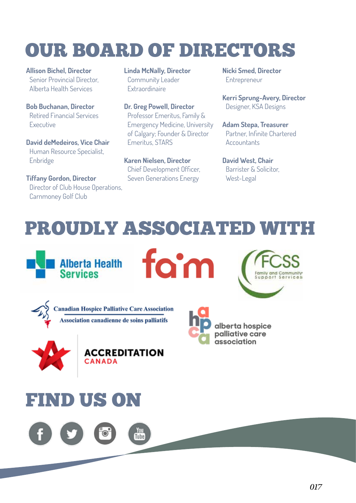### OUR BOARD OF DIRECTORS

**Allison Bichel, Director** Senior Provincial Director, Alberta Health Services

**Bob Buchanan, Director** Retired Financial Services Executive

**David deMedeiros, Vice Chair** Human Resource Specialist, Enbridge

**Tiffany Gordon, Director** Director of Club House Operations, Carnmoney Golf Club

**Linda McNally, Director** Community Leader Extraordinaire

**Dr. Greg Powell, Director** Professor Emeritus, Family & Emergency Medicine, University of Calgary; Founder & Director Emeritus, STARS

**Karen Nielsen, Director** Chief Development Officer, Seven Generations Energy

**Nicki Smed, Director** Entrepreneur

**Kerri Sprung-Avery, Director** Designer, KSA Designs

**Adam Stepa, Treasurer** Partner, Infinite Chartered **Accountants** 

**David West, Chair** Barrister & Solicitor, West-Legal

### PROUDLY ASSOCIATED WITH

fam



**Canadian Hospice Palliative Care Association** Association canadienne de soins palliatifs







alberta hospice palliative care association

### FIND US ON